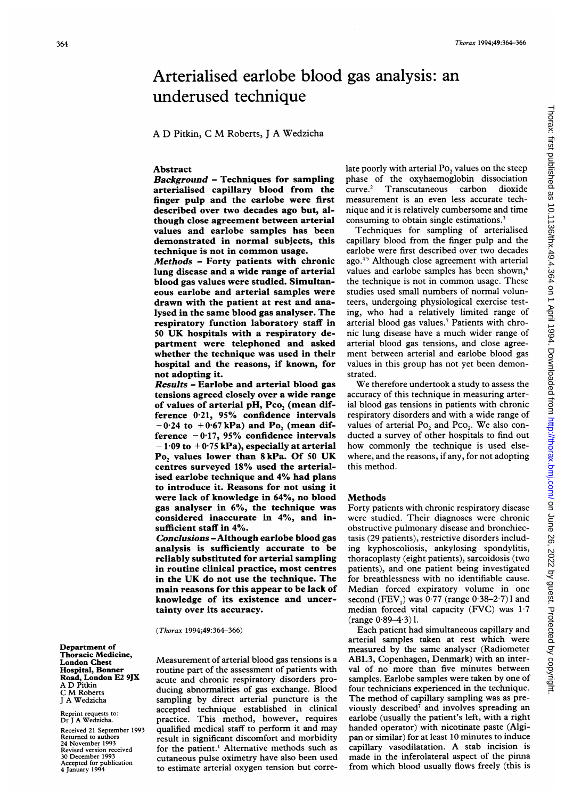# Arterialised earlobe blood gas analysis: an underused technique

A D Pitkin, <sup>C</sup> M Roberts, <sup>J</sup> A Wedzicha

# Abstract

Background - Techniques for sampling arterialised capillary blood from the finger pulp and the earlobe were first described over two decades ago but, although close agreement between arterial values and earlobe samples has been demonstrated in normal subjects, this technique is not in common usage.

Methods - Forty patients with chronic lung disease and a wide range of arterial blood gas values were studied. Simultaneous earlobe and arterial samples were drawn with the patient at rest and analysed in the same blood gas analyser. The respiratory function laboratory staff in <sup>50</sup> UK hospitals with <sup>a</sup> respiratory department were telephoned and asked whether the technique was used in their hospital and the reasons, if known, for not adopting it.

Results - Earlobe and arterial blood gas tensions agreed closely over a wide range of values of arterial pH, Pco, (mean difference 0-21, 95% confidence intervals  $-0.24$  to  $+0.67$  kPa) and Po<sub>2</sub> (mean difference  $-0.17$ , 95% confidence intervals  $-1.09$  to  $+0.75$  kPa), especially at arterial Po, values lower than 8 kPa. Of 50 UK centres surveyed 18% used the arterialised earlobe technique and 4% had plans to introduce it. Reasons for not using it were lack of knowledge in 64%, no blood gas analyser in 6%, the technique was considered inaccurate in 4%, and insufficient staff in 4%.

Conclusions -Although earlobe blood gas analysis is sufficiently accurate to be reliably substituted for arterial sampling in routine clinical practice, most centres in the UK do not use the technique. The main reasons for this appear to be lack of knowledge of its existence and uncertainty over its accuracy.

(Thorax 1994;49:364-366)

Department of Thoracic Medicine, London Chest Hospital, Bonner Road, London E2 9JX A D Pitkin <sup>C</sup> M Roberts <sup>J</sup> A Wedzicha

Reprint requests to: Dr <sup>J</sup> A Wedzicha.

Received 21 September 1993 Returned to authors 24 November 1993 Revised version received 30 December 199 Accepted for publication 4 January 1994

Measurement of arterial blood gas tensions is a routine part of the assessment of patients with acute and chronic respiratory disorders producing abnormalities of gas exchange. Blood sampling by direct arterial puncture is the accepted technique established in clinical practice. This method, however, requires qualified medical staff to perform it and may result in significant discomfort and morbidity for the patient.' Alternative methods such as cutaneous pulse oximetry have also been used to estimate arterial oxygen tension but corre-

late poorly with arterial  $Po_2$  values on the steep phase of the oxyhaemoglobin dissociation curve.2 Transcutaneous carbon dioxide measurement is an even less accurate technique and it is relatively cumbersome and time consuming to obtain single estimations.<sup>3</sup>

Techniques for sampling of arterialised capillary blood from the finger pulp and the earlobe were first described over two decades ago.45 Although close agreement with arterial values and earlobe samples has been shown,<sup>6</sup> the technique is not in common usage. These studies used small numbers of normal volunteers, undergoing physiological exercise testing, who had <sup>a</sup> relatively limited range of arterial blood gas values.7 Patients with chronic lung disease have <sup>a</sup> much wider range of arterial blood gas tensions, and close agreement between arterial and earlobe blood gas values in this group has not yet been demonstrated.

We therefore undertook <sup>a</sup> study to assess the accuracy of this technique in measuring arterial blood gas tensions in patients with chronic respiratory disorders and with a wide range of values of arterial  $Po_2$  and  $Pco_2$ . We also conducted a survey of other hospitals to find out how commonly the technique is used elsewhere, and the reasons, if any, for not adopting this method.

# Methods

Forty patients with chronic respiratory disease were studied. Their diagnoses were chronic obstructive pulmonary disease and bronchiectasis (29 patients), restrictive disorders including kyphoscoliosis, ankylosing spondylitis, thoracoplasty (eight patients), sarcoidosis (two patients), and one patient being investigated for breathlessness with no identifiable cause. Median forced expiratory volume in one second (FEV<sub>1</sub>) was  $0.77$  (range  $0.38-2.7$ ) l and median forced vital capacity (FVC) was  $1.7$  $(range 0.89-4.3)$ .

Each patient had simultaneous capillary and arterial samples taken at rest which were measured by the same analyser (Radiometer ABL3, Copenhagen, Denmark) with an interval of no more than five minutes between samples. Earlobe samples were taken by one of four technicians experienced in the technique. The method of capillary sampling was as previously described<sup>7</sup> and involves spreading an earlobe (usually the patient's left, with a right handed operator) with nicotinate paste (Algipan or similar) for at least 10 minutes to induce capillary vasodilatation. A stab incision is made in the inferolateral aspect of the pinna from which blood usually flows freely (this is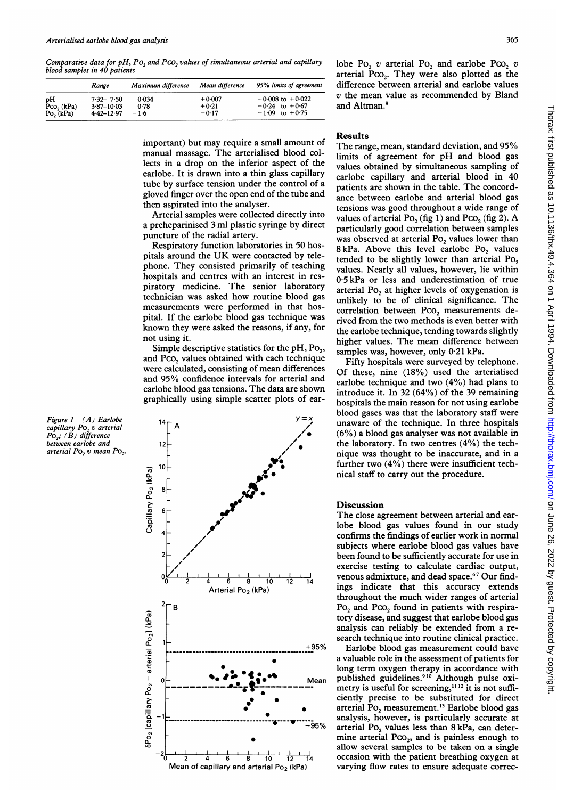Comparative data for  $pH$ , P0, and Pc0, values of simultaneous arterial and capillary blood samples in 40 patients

|                                   | Range                                             | Maximum difference      | Mean difference                | 95% limits of agreement                                          |
|-----------------------------------|---------------------------------------------------|-------------------------|--------------------------------|------------------------------------------------------------------|
| pН<br>$PCO2 (kPa)$<br>$Po2 (kPa)$ | $7.32 - 7.50$<br>$3.87 - 10.03$<br>$4.42 - 12.97$ | 0.034<br>0.78<br>$-1.6$ | $+0.007$<br>$+0.21$<br>$-0.17$ | $-0.008$ to $+0.022$<br>$-0.24$ to $+0.67$<br>$-1.09$ to $+0.75$ |

important) but may require a small amount of manual massage. The arterialised blood collects in a drop on the inferior aspect of the earlobe. It is drawn into a thin glass capillary tube by surface tension under the control of a gloved finger over the open end of the tube and then aspirated into the analyser.

Arterial samples were collected directly into a preheparinised 3 ml plastic syringe by direct puncture of the radial artery.

Respiratory function laboratories in 50 hospitals around the UK were contacted by telephone. They consisted primarily of teaching hospitals and centres with an interest in respiratory medicine. The senior laboratory technician was asked how routine blood gas measurements were performed in that hospital. If the earlobe blood gas technique was known they were asked the reasons, if any, for not using it.

Simple descriptive statistics for the  $pH$ ,  $Po<sub>2</sub>$ , and Pco<sub>2</sub> values obtained with each technique were calculated, consisting of mean differences and 95% confidence intervals for arterial and earlobe blood gas tensions. The data are shown graphically using simple scatter plots of ear-

**ro** <u>ត</u> a-L-N 0 co a.\_  $-$ 0 .۔  $\frac{1}{2}$  $\mathbf \circ$ a.\_ 0~ 14  $12$ 10 8  $y = x$  $\overline{A}$  /  $\overline{A}$ // /  $\overline{\phantom{a}}$ le9  $\lambda$ a<br>
Biscussion<br>
The close agreement between arterial and ear-<br>
blee blood ges velves found in our study - \* -

lobe Po<sub>2</sub> v arterial Po<sub>2</sub> and earlobe Pco<sub>2</sub> v arterial Pco<sub>2</sub>. They were also plotted as the difference between arterial and earlobe values v the mean value as recommended by Bland and Altman.8

# Results

The range, mean, standard deviation, and 95% limits of agreement for pH and blood gas values obtained by simultaneous sampling of earlobe capillary and arterial blood in 40 patients are shown in the table. The concordance between earlobe and arterial blood gas tensions was good throughout a wide range of values of arterial Po<sub>2</sub> (fig 1) and Pco<sub>2</sub> (fig 2). A particularly good correlation between samples was observed at arterial  $Po_2$  values lower than 8 kPa. Above this level earlobe Po<sub>2</sub> values tended to be slightly lower than arterial Po<sub>2</sub> values. Nearly all values, however, lie within 0-5 kPa or less and underestimation of true arterial Po<sub>2</sub> at higher levels of oxygenation is unlikely to be of clinical significance. The correlation between Pco<sub>2</sub> measurements derived from the two methods is even better with the earlobe technique, tending towards slightly higher values. The mean difference between samples was, however, only 0-21 kPa.

Fifty hospitals were surveyed by telephone. Of these, nine (18%) used the arterialised earlobe technique and two (4%) had plans to introduce it. In 32 (64%) of the 39 remaining hospitals the main reason for not using earlobe blood gases was that the laboratory staff were unaware of the technique. In three hospitals (6%) a blood gas analyser was not available in the laboratory. In two centres (4%) the technique was thought to be inaccurate, and in a further two (4%) there were insufficient technical staff to carry out the procedure.

lobe blood gas values found in our study confirms the findings of earlier work in normal subjects where earlobe blood gas values have been found to be sufficiently accurate for use in exercise testing to calculate cardiac output,  $\begin{array}{ccc}\n0 & 2 & 4 & 6 & 8 & 10 & 12 & 14 \\
\hline\n\end{array}$  venous admixture, and dead space.<sup>67</sup> Our find-<br>Arterial Po<sub>2</sub> (kPa) ings indicate that this accuracy extends throughout the much wider ranges of arterial  $P_{\text{O}_2}$  and Pco<sub>2</sub> found in patients with respiratory disease, and suggest that earlobe blood gas analysis can reliably be extended from a re-

search technique into routine clinical practice.<br>+95% Earlobe blood gas measurement could have Earlobe blood gas measurement could have a valuable role in the assessment of patients for long term oxygen therapy in accordance with Mean published guidelines.<sup>910</sup> Although pulse oximetry is useful for screening,<sup>1112</sup> it is not suffi-)\* ciently precise to be substituted for direct arterial  $\overline{P}O_2$  measurement.<sup>13</sup> Earlobe blood gas analysis, however, is particularly accurate at  $-95\%$  arterial Po values less than  $8 \text{ kPa}$  can deter arterial Po<sub>2</sub> values less than 8 kPa, can determine arterial  $PCO<sub>2</sub>$ , and is painless enough to allow several samples to be taken on a single<br> $\frac{1}{6}$  and  $\frac{1}{2}$  allow several samples to be taken on a single occasion with the patient breathing oxygen at Mean of capillary and arterial  $Po_2$  (kPa) varying flow rates to ensure adequate correc-

Figure <sup>1</sup> (A) Earlobe  $capillary Po<sub>2</sub> v$  arterial  $\overline{P_{O_{2}}}, \overline{(B)}$  difference between earlobe and arterial  $Po_2$  v mean  $Po_2$ .